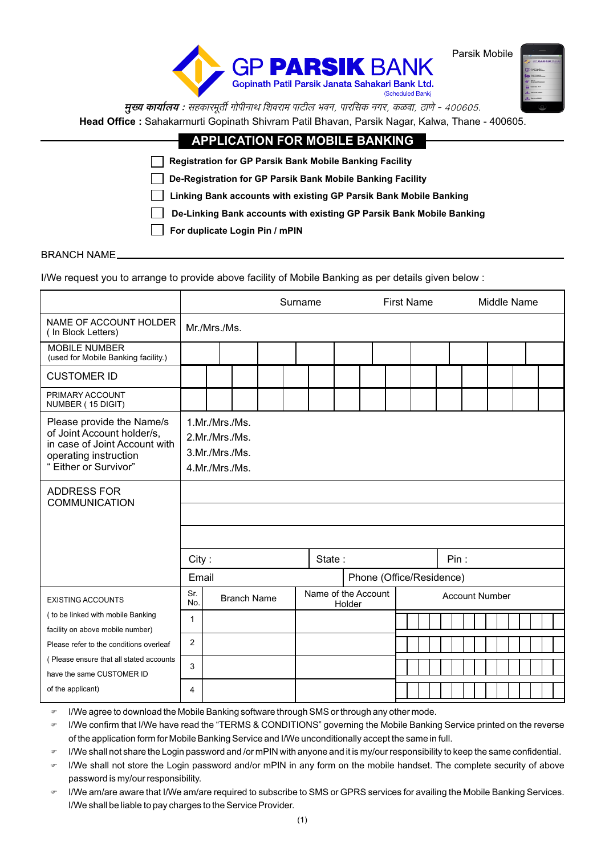

Parsik Mobile

मुख्य कार्यालय : सहकारमूर्ती गोपीनाथ शिवराम पाटील भवन, पारसिक नगर, कळवा, ठाणे - 400605. Head Office: Sahakarmurti Gopinath Shivram Patil Bhavan, Parsik Nagar, Kalwa, Thane - 400605.

| <b>APPLICATION FOR MOBILE BANKING</b>                                |
|----------------------------------------------------------------------|
| <b>Registration for GP Parsik Bank Mobile Banking Facility</b>       |
| De-Registration for GP Parsik Bank Mobile Banking Facility           |
| Linking Bank accounts with existing GP Parsik Bank Mobile Banking    |
| De-Linking Bank accounts with existing GP Parsik Bank Mobile Banking |
| For duplicate Login Pin / mPIN                                       |
|                                                                      |

#### **BRANCH NAME\_**

I/We request you to arrange to provide above facility of Mobile Banking as per details given below :

|                                                                                                                                            |                                                                      |              |                    |  | Surname |                     |        |  | <b>First Name</b>        |      |                       | Middle Name |  |  |
|--------------------------------------------------------------------------------------------------------------------------------------------|----------------------------------------------------------------------|--------------|--------------------|--|---------|---------------------|--------|--|--------------------------|------|-----------------------|-------------|--|--|
| NAME OF ACCOUNT HOLDER<br>(In Block Letters)                                                                                               |                                                                      | Mr./Mrs./Ms. |                    |  |         |                     |        |  |                          |      |                       |             |  |  |
| <b>MOBILE NUMBER</b><br>(used for Mobile Banking facility.)                                                                                |                                                                      |              |                    |  |         |                     |        |  |                          |      |                       |             |  |  |
| <b>CUSTOMER ID</b>                                                                                                                         |                                                                      |              |                    |  |         |                     |        |  |                          |      |                       |             |  |  |
| PRIMARY ACCOUNT<br>NUMBER (15 DIGIT)                                                                                                       |                                                                      |              |                    |  |         |                     |        |  |                          |      |                       |             |  |  |
| Please provide the Name/s<br>of Joint Account holder/s,<br>in case of Joint Account with<br>operating instruction<br>" Either or Survivor" | 1.Mr./Mrs./Ms.<br>2.Mr./Mrs./Ms.<br>3.Mr./Mrs./Ms.<br>4.Mr./Mrs./Ms. |              |                    |  |         |                     |        |  |                          |      |                       |             |  |  |
| <b>ADDRESS FOR</b><br><b>COMMUNICATION</b>                                                                                                 |                                                                      |              |                    |  |         |                     |        |  |                          |      |                       |             |  |  |
|                                                                                                                                            |                                                                      |              |                    |  |         |                     |        |  |                          |      |                       |             |  |  |
|                                                                                                                                            |                                                                      |              |                    |  |         |                     |        |  |                          |      |                       |             |  |  |
|                                                                                                                                            | City:                                                                |              |                    |  |         | State:              |        |  |                          | Pin: |                       |             |  |  |
|                                                                                                                                            | Email                                                                |              |                    |  |         |                     |        |  | Phone (Office/Residence) |      |                       |             |  |  |
| <b>EXISTING ACCOUNTS</b>                                                                                                                   | Sr.<br>No.                                                           |              | <b>Branch Name</b> |  |         | Name of the Account | Holder |  |                          |      | <b>Account Number</b> |             |  |  |
| ( to be linked with mobile Banking<br>facility on above mobile number)                                                                     | 1                                                                    |              |                    |  |         |                     |        |  |                          |      |                       |             |  |  |
| Please refer to the conditions overleaf                                                                                                    | 2                                                                    |              |                    |  |         |                     |        |  |                          |      |                       |             |  |  |
| (Please ensure that all stated accounts<br>have the same CUSTOMER ID                                                                       | 3                                                                    |              |                    |  |         |                     |        |  |                          |      |                       |             |  |  |
| of the applicant)                                                                                                                          | 4                                                                    |              |                    |  |         |                     |        |  |                          |      |                       |             |  |  |

I/We agree to download the Mobile Banking software through SMS or through any other mode.

I/We confirm that I/We have read the "TERMS & CONDITIONS" governing the Mobile Banking Service printed on the reverse  $\sigma$ of the application form for Mobile Banking Service and I/We unconditionally accept the same in full.

I/We shall not share the Login password and /or mPIN with anyone and it is my/our responsibility to keep the same confidential.

I/We shall not store the Login password and/or mPIN in any form on the mobile handset. The complete security of above **CRP** password is my/our responsibility.

 $\mathcal{D}^{\alpha}$ I/We am/are aware that I/We am/are required to subscribe to SMS or GPRS services for availing the Mobile Banking Services. I/We shall be liable to pay charges to the Service Provider.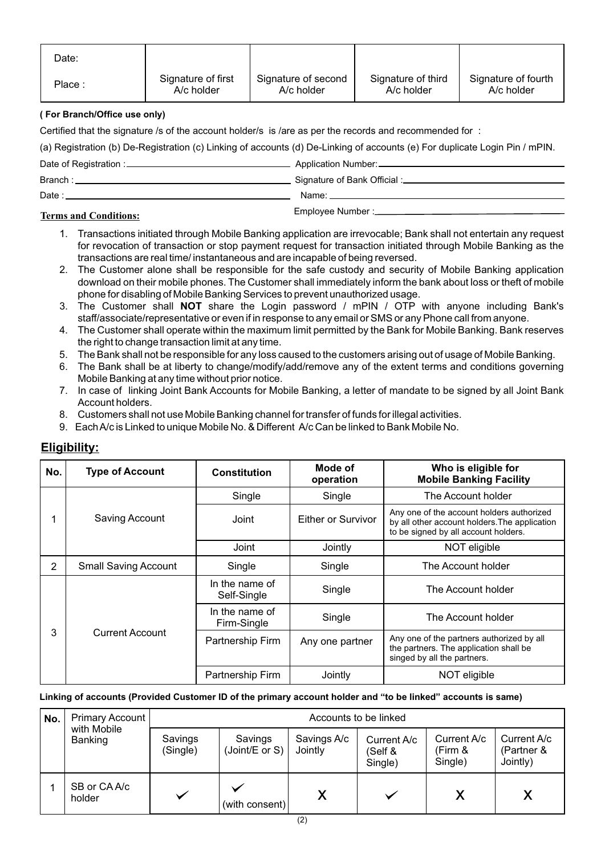| Date:  |                    |                     |                    |                     |
|--------|--------------------|---------------------|--------------------|---------------------|
| Place: | Signature of first | Signature of second | Signature of third | Signature of fourth |
|        | A/c holder         | $A/c$ holder        | A/c holder         | A/c holder          |

## **( For Branch/Office use only)**

Certified that the signature /s of the account holder/s is /are as per the records and recommended for :

(a) Registration (b) De-Registration (c) Linking of accounts (d) De-Linking of accounts (e) For duplicate Login Pin / mPIN.

| Date of Registration : | Application Number: __ |
|------------------------|------------------------|
| Branch:                |                        |
| Date                   | Name:                  |
|                        |                        |

# Employee Number : **Terms and Conditions:**

- 1. Transactions initiated through Mobile Banking application are irrevocable; Bank shall not entertain any request for revocation of transaction or stop payment request for transaction initiated through Mobile Banking as the transactions are real time/ instantaneous and are incapable of being reversed.
- 2. The Customer alone shall be responsible for the safe custody and security of Mobile Banking application download on their mobile phones. The Customer shall immediately inform the bank about loss or theft of mobile phone for disabling of Mobile Banking Services to prevent unauthorized usage.
- 3. The Customer shall **NOT** share the Login password / mPIN / OTP with anyone including Bank's staff/associate/representative or even if in response to any email or SMS or any Phone call from anyone.
- 4. The Customer shall operate within the maximum limit permitted by the Bank for Mobile Banking. Bank reserves the right to change transaction limit at any time.
- 5. The Bank shall not be responsible for any loss caused to the customers arising out of usage of Mobile Banking.
- 6. The Bank shall be at liberty to change/modify/add/remove any of the extent terms and conditions governing Mobile Banking at any time without prior notice.
- 7. In case of linking Joint Bank Accounts for Mobile Banking, a letter of mandate to be signed by all Joint Bank Account holders.
- 8. Customers shall not use Mobile Banking channel for transfer of funds for illegal activities.
- 9. Each A/c is Linked to unique Mobile No. & Different A/c Can be linked to Bank Mobile No.

| No. | <b>Type of Account</b>      | <b>Constitution</b>           | Mode of<br>operation      | Who is eligible for<br><b>Mobile Banking Facility</b>                                                                              |  |
|-----|-----------------------------|-------------------------------|---------------------------|------------------------------------------------------------------------------------------------------------------------------------|--|
|     |                             | Single                        | Single                    | The Account holder                                                                                                                 |  |
|     | Saving Account              | Joint                         | <b>Either or Survivor</b> | Any one of the account holders authorized<br>by all other account holders. The application<br>to be signed by all account holders. |  |
|     |                             | Joint                         | Jointly                   | NOT eligible                                                                                                                       |  |
| 2   | <b>Small Saving Account</b> | Single                        | Single                    | The Account holder                                                                                                                 |  |
|     |                             | In the name of<br>Self-Single | Single                    | The Account holder                                                                                                                 |  |
|     |                             | In the name of<br>Firm-Single | Single                    | The Account holder                                                                                                                 |  |
| 3   | Current Account             | Partnership Firm              | Any one partner           | Any one of the partners authorized by all<br>the partners. The application shall be<br>singed by all the partners.                 |  |
|     |                             | Partnership Firm              | Jointly                   | NOT eligible                                                                                                                       |  |

# **Eligibility:**

#### **Linking of accounts (Provided Customer ID of the primary account holder and "to be linked" accounts is same)**

| No. | Primary Account        |                     |                           | Accounts to be linked  |                                   |                                   |                                       |  |
|-----|------------------------|---------------------|---------------------------|------------------------|-----------------------------------|-----------------------------------|---------------------------------------|--|
|     | with Mobile<br>Banking | Savings<br>(Single) | Savings<br>(Joint/E or S) | Savings A/c<br>Jointly | Current A/c<br>(Self &<br>Single) | Current A/c<br>(Firm &<br>Single) | Current A/c<br>(Partner &<br>Jointly) |  |
|     | SB or CA A/c<br>holder |                     | (with consent)            |                        |                                   |                                   |                                       |  |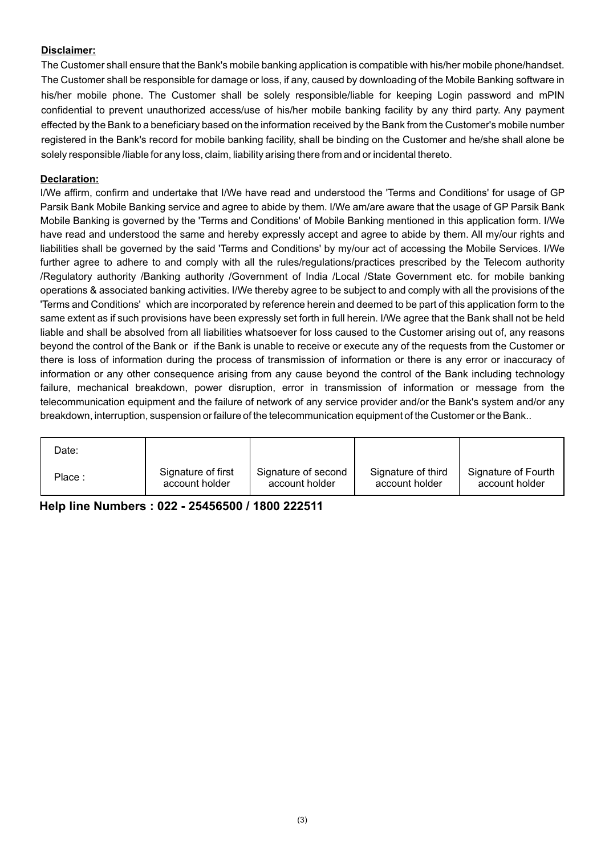## **Disclaimer:**

The Customer shall ensure that the Bank's mobile banking application is compatible with his/her mobile phone/handset. The Customer shall be responsible for damage or loss, if any, caused by downloading of the Mobile Banking software in his/her mobile phone. The Customer shall be solely responsible/liable for keeping Login password and mPIN confidential to prevent unauthorized access/use of his/her mobile banking facility by any third party. Any payment effected by the Bank to a beneficiary based on the information received by the Bank from the Customer's mobile number registered in the Bank's record for mobile banking facility, shall be binding on the Customer and he/she shall alone be solely responsible /liable for any loss, claim, liability arising there from and or incidental thereto.

## **Declaration:**

I/We affirm, confirm and undertake that I/We have read and understood the 'Terms and Conditions' for usage of GP Parsik Bank Mobile Banking service and agree to abide by them. I/We am/are aware that the usage of GP Parsik Bank Mobile Banking is governed by the 'Terms and Conditions' of Mobile Banking mentioned in this application form. I/We have read and understood the same and hereby expressly accept and agree to abide by them. All my/our rights and liabilities shall be governed by the said 'Terms and Conditions' by my/our act of accessing the Mobile Services. I/We further agree to adhere to and comply with all the rules/regulations/practices prescribed by the Telecom authority /Regulatory authority /Banking authority /Government of India /Local /State Government etc. for mobile banking operations & associated banking activities. I/We thereby agree to be subject to and comply with all the provisions of the 'Terms and Conditions' which are incorporated by reference herein and deemed to be part of this application form to the same extent as if such provisions have been expressly set forth in full herein. I/We agree that the Bank shall not be held liable and shall be absolved from all liabilities whatsoever for loss caused to the Customer arising out of, any reasons beyond the control of the Bank or if the Bank is unable to receive or execute any of the requests from the Customer or there is loss of information during the process of transmission of information or there is any error or inaccuracy of information or any other consequence arising from any cause beyond the control of the Bank including technology failure, mechanical breakdown, power disruption, error in transmission of information or message from the telecommunication equipment and the failure of network of any service provider and/or the Bank's system and/or any breakdown, interruption, suspension or failure of the telecommunication equipment of the Customer or the Bank..

| Date:  |                    |                     |                    |                     |
|--------|--------------------|---------------------|--------------------|---------------------|
| Place: | Signature of first | Signature of second | Signature of third | Signature of Fourth |
|        | account holder     | account holder      | account holder     | account holder      |

## **Help line Numbers : 022 - 25456500 / 1800 222511**